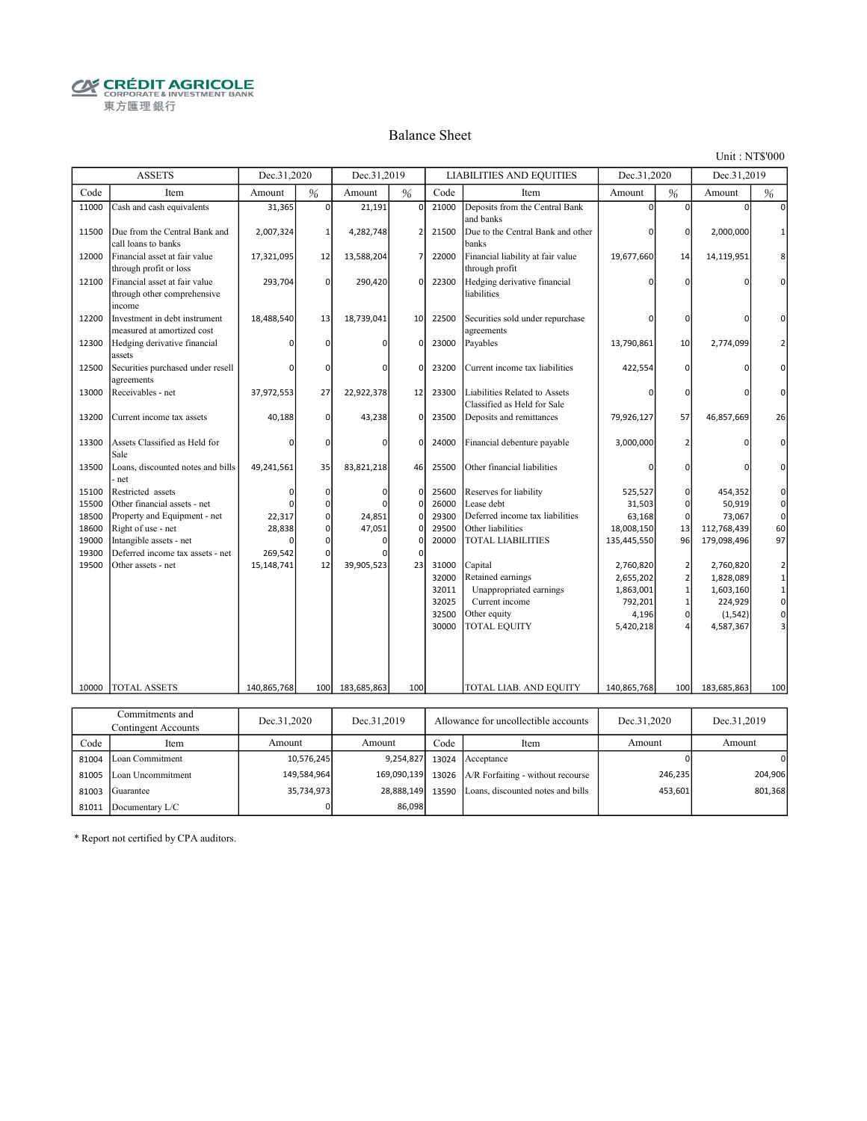**CRÉDIT AGRICOLE** 東方匯理銀行

### Balance Sheet

Unit : NT\$'000

|                | <b>ASSETS</b>                                                          | Dec.31,2020      |                  | Dec.31,2019      |               |                | <b>LIABILITIES AND EQUITIES</b>                              | Dec.31,2020               |                   | Dec.31,2019 |                                             |
|----------------|------------------------------------------------------------------------|------------------|------------------|------------------|---------------|----------------|--------------------------------------------------------------|---------------------------|-------------------|-------------|---------------------------------------------|
| Code           | Item                                                                   | Amount           | %                | Amount           | %             | Code           | Item                                                         | Amount                    | $\frac{9}{6}$     | Amount      | %                                           |
| 11000          | Cash and cash equivalents                                              | 31,365           | $\mathbf 0$      | 21,191           | $\mathbf 0$   | 21000          | Deposits from the Central Bank<br>and banks                  | $\Omega$                  | 0                 | $\Omega$    |                                             |
| 11500          | Due from the Central Bank and<br>call loans to banks                   | 2,007,324        | $\mathbf{1}$     | 4,282,748        | 2             | 21500          | Due to the Central Bank and other<br>banks                   |                           | 0                 | 2,000,000   |                                             |
| 12000          | Financial asset at fair value<br>through profit or loss                | 17,321,095       | 12               | 13,588,204       | 7             | 22000          | Financial liability at fair value<br>through profit          | 19,677,660                | 14                | 14,119,951  | 8                                           |
| 12100          | Financial asset at fair value<br>through other comprehensive<br>income | 293,704          | $\mathbf 0$      | 290,420          | $\Omega$      | 22300          | Hedging derivative financial<br>liabilities                  | n                         | $\Omega$          |             | $\Omega$                                    |
| 12200          | Investment in debt instrument<br>measured at amortized cost            | 18,488,540       | 13               | 18,739,041       | 10            | 22500          | Securities sold under repurchase<br>agreements               | n                         | $\Omega$          |             |                                             |
| 12300          | Hedging derivative financial<br>assets                                 |                  | $\Omega$         | O                | $\Omega$      | 23000          | Payables                                                     | 13,790,861                | 10                | 2,774,099   | $\overline{2}$                              |
| 12500          | Securities purchased under resell<br>agreements                        |                  | $\Omega$         | $\Omega$         | O             | 23200          | Current income tax liabilities                               | 422,554                   | $\Omega$          |             | $\Omega$                                    |
| 13000          | Receivables - net                                                      | 37,972,553       | 27               | 22,922,378       | 12            | 23300          | Liabilities Related to Assets<br>Classified as Held for Sale | ŋ                         | $\Omega$          |             | 0                                           |
| 13200          | Current income tax assets                                              | 40,188           | $\mathbf 0$      | 43,238           | $\Omega$      | 23500          | Deposits and remittances                                     | 79,926,127                | 57                | 46,857,669  | 26                                          |
| 13300          | Assets Classified as Held for<br>Sale                                  | n                | 0                | O                | $\Omega$      | 24000          | Financial debenture payable                                  | 3,000,000                 | 2                 |             | 0                                           |
| 13500          | Loans, discounted notes and bills<br>- net                             | 49,241,561       | 35               | 83,821,218       | 46            | 25500          | Other financial liabilities                                  | 0                         | $\Omega$          |             | $\Omega$                                    |
| 15100          | Restricted assets                                                      | $\Omega$         | $\mathbf 0$      | $\Omega$         | $\Omega$      | 25600          | Reserves for liability                                       | 525,527                   | 0                 | 454,352     | 0                                           |
| 15500          | Other financial assets - net                                           |                  | 0                |                  | 0             | 26000          | Lease debt                                                   | 31,503                    | 0                 | 50,919      | $\pmb{0}$                                   |
| 18500<br>18600 | Property and Equipment - net<br>Right of use - net                     | 22,317<br>28,838 | 0<br>0           | 24,851<br>47,051 | 0<br>$\Omega$ | 29300<br>29500 | Deferred income tax liabilities<br>Other liabilities         | 63,168                    | $\mathbf 0$<br>13 | 73,067      | $\mathsf{O}\xspace$<br>60                   |
|                | Intangible assets - net                                                |                  |                  | $\Omega$         |               |                |                                                              | 18,008,150                |                   | 112,768,439 | 97                                          |
| 19000<br>19300 | Deferred income tax assets - net                                       | 269,542          | 0<br>$\mathbf 0$ |                  |               | 20000          | <b>TOTAL LIABILITIES</b>                                     | 135,445,550               | 96                | 179,098,496 |                                             |
| 19500          | Other assets - net                                                     | 15,148,741       | 12               | 39,905,523       | 23            | 31000          | Capital                                                      | 2,760,820                 | $\overline{2}$    | 2,760,820   |                                             |
|                |                                                                        |                  |                  |                  |               | 32000          | Retained earnings                                            | 2,655,202                 | $\overline{2}$    | 1,828,089   | $\overline{2}$                              |
|                |                                                                        |                  |                  |                  |               | 32011          | Unappropriated earnings                                      | 1,863,001                 | $\mathbf{1}$      | 1,603,160   | $\begin{bmatrix} 1 \\ 1 \\ 0 \end{bmatrix}$ |
|                |                                                                        |                  |                  |                  |               | 32025          | Current income                                               | 792,201                   | 1                 | 224,929     |                                             |
|                |                                                                        |                  |                  |                  |               | 32500          | Other equity                                                 | 4,196                     | 0                 | (1, 542)    | $\mathbf{0}$                                |
|                |                                                                        |                  |                  |                  |               | 30000          | TOTAL EQUITY                                                 | 5,420,218                 |                   | 4,587,367   | $\overline{3}$                              |
|                |                                                                        |                  |                  |                  |               |                |                                                              |                           |                   |             |                                             |
|                |                                                                        |                  |                  |                  |               |                |                                                              |                           |                   |             |                                             |
| 10000          | <b>TOTAL ASSETS</b>                                                    | 140,865,768      | 100              | 183,685,863      | 100           |                | TOTAL LIAB. AND EQUITY                                       | 140,865,768               | 100               | 183,685,863 | 100                                         |
|                |                                                                        |                  |                  |                  |               |                |                                                              |                           |                   |             |                                             |
|                | Commitments and                                                        | 21.2020          |                  | 21.2010          |               |                |                                                              | 21.2020<br>$\blacksquare$ |                   | 21.2010     |                                             |

|       | Commitments and<br>Contingent Accounts | Dec.31,2020 | Dec.31.2019 | Allowance for uncollectible accounts |                                           | Dec.31.2020 | Dec.31,2019 |
|-------|----------------------------------------|-------------|-------------|--------------------------------------|-------------------------------------------|-------------|-------------|
| Code  | Item                                   | Amount      | Amount      | Code                                 | Item                                      | Amount      | Amount      |
| 81004 | Loan Commitment                        | 10.576.245  | 9,254,827   |                                      | 13024 Acceptance                          |             | 0           |
| 81005 | Loan Uncommitment                      | 149.584.964 | 169,090,139 |                                      | 13026   A/R Forfaiting - without recourse | 246,235     | 204.906     |
| 81003 | Guarantee                              | 35,734,973  | 28,888,149  |                                      | 13590 Loans, discounted notes and bills   | 453,601     | 801,368     |
| 81011 | Documentary L/C                        |             | 86,098      |                                      |                                           |             |             |

\* Report not certified by CPA auditors.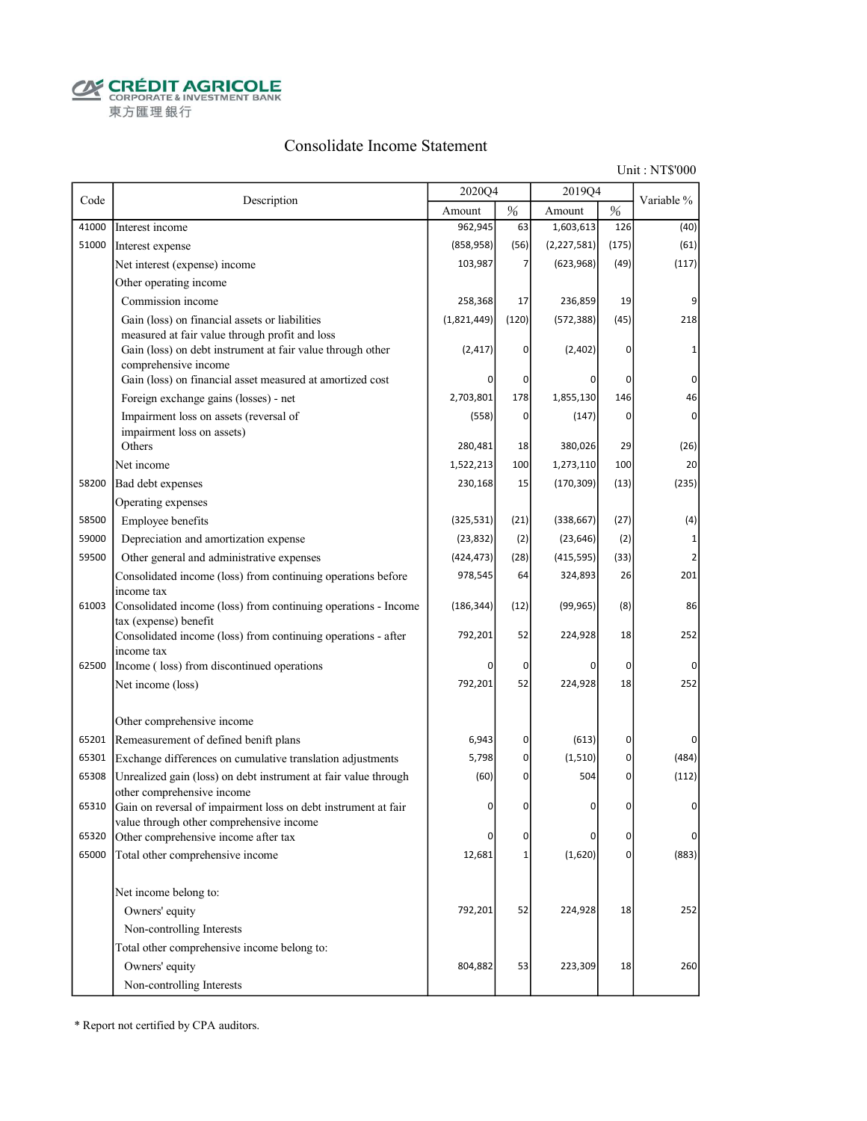**CRÉDIT AGRICOLE** 東方匯理銀行

### Consolidate Income Statement

Unit : NT\$'000

|       |                                                                                                                                      | 2020Q4      |          | 2019Q4        |                |                |
|-------|--------------------------------------------------------------------------------------------------------------------------------------|-------------|----------|---------------|----------------|----------------|
| Code  | Description                                                                                                                          | Amount      | %        | Amount        | $\%$           | Variable %     |
| 41000 | Interest income                                                                                                                      | 962,945     | 63       | 1,603,613     | 126            | (40)           |
| 51000 | Interest expense                                                                                                                     | (858, 958)  | (56)     | (2, 227, 581) | (175)          | (61)           |
|       | Net interest (expense) income                                                                                                        | 103,987     | 7        | (623, 968)    | (49)           | (117)          |
|       | Other operating income                                                                                                               |             |          |               |                |                |
|       | Commission income                                                                                                                    | 258,368     | 17       | 236,859       | 19             | 9              |
|       | Gain (loss) on financial assets or liabilities                                                                                       | (1,821,449) | (120)    | (572, 388)    | (45)           | 218            |
|       | measured at fair value through profit and loss<br>Gain (loss) on debt instrument at fair value through other<br>comprehensive income | (2, 417)    | 0        | (2,402)       | 0              |                |
|       | Gain (loss) on financial asset measured at amortized cost                                                                            | n           | 0        | $\Omega$      | 0              | $\Omega$       |
|       | Foreign exchange gains (losses) - net                                                                                                | 2,703,801   | 178      | 1,855,130     | 146            | 46             |
|       | Impairment loss on assets (reversal of                                                                                               | (558)       | 0        | (147)         | 0              | $\overline{0}$ |
|       | impairment loss on assets)                                                                                                           |             |          |               |                |                |
|       | Others                                                                                                                               | 280,481     | 18       | 380,026       | 29             | (26)           |
|       | Net income                                                                                                                           | 1,522,213   | 100      | 1,273,110     | 100            | 20             |
| 58200 | Bad debt expenses                                                                                                                    | 230,168     | 15       | (170, 309)    | (13)           | (235)          |
|       | Operating expenses                                                                                                                   |             |          |               |                |                |
| 58500 | Employee benefits                                                                                                                    | (325, 531)  | (21)     | (338, 667)    | (27)           | (4)            |
| 59000 | Depreciation and amortization expense                                                                                                | (23, 832)   | (2)      | (23, 646)     | (2)            | $1\vert$       |
| 59500 | Other general and administrative expenses                                                                                            | (424, 473)  | (28)     | (415, 595)    | (33)           |                |
|       | Consolidated income (loss) from continuing operations before                                                                         | 978,545     | 64       | 324,893       | 26             | 201            |
| 61003 | income tax<br>Consolidated income (loss) from continuing operations - Income                                                         | (186, 344)  | (12)     | (99, 965)     | (8)            | 86             |
|       | tax (expense) benefit<br>Consolidated income (loss) from continuing operations - after<br>income tax                                 | 792,201     | 52       | 224,928       | 18             | 252            |
| 62500 | Income (loss) from discontinued operations                                                                                           | 0           | 0        | 0             | 0              | $\Omega$       |
|       | Net income (loss)                                                                                                                    | 792,201     | 52       | 224,928       | 18             | 252            |
|       | Other comprehensive income                                                                                                           |             |          |               |                |                |
| 65201 | Remeasurement of defined benift plans                                                                                                | 6,943       | $\sigma$ | (613)         | 0              | $\overline{0}$ |
| 65301 | Exchange differences on cumulative translation adjustments                                                                           | 5,798       | 0        | (1, 510)      | 0              | (484)          |
| 65308 | Unrealized gain (loss) on debt instrument at fair value through<br>other comprehensive income                                        | (60)        | 0        | 504           | 0              | (112)          |
| 65310 | Gain on reversal of impairment loss on debt instrument at fair<br>value through other comprehensive income                           | 0           | 0        | 0             | 0              | $\overline{0}$ |
| 65320 | Other comprehensive income after tax                                                                                                 |             | 0        | 0             | 0              | $\Omega$       |
| 65000 | Total other comprehensive income                                                                                                     | 12,681      | $1\vert$ | (1,620)       | $\overline{0}$ | (883)          |
|       | Net income belong to:                                                                                                                |             |          |               |                |                |
|       | Owners' equity                                                                                                                       | 792,201     | 52       | 224,928       | 18             | 252            |
|       | Non-controlling Interests                                                                                                            |             |          |               |                |                |
|       | Total other comprehensive income belong to:                                                                                          |             |          |               |                |                |
|       | Owners' equity                                                                                                                       | 804,882     | 53       | 223,309       | 18             | 260            |
|       | Non-controlling Interests                                                                                                            |             |          |               |                |                |

\* Report not certified by CPA auditors.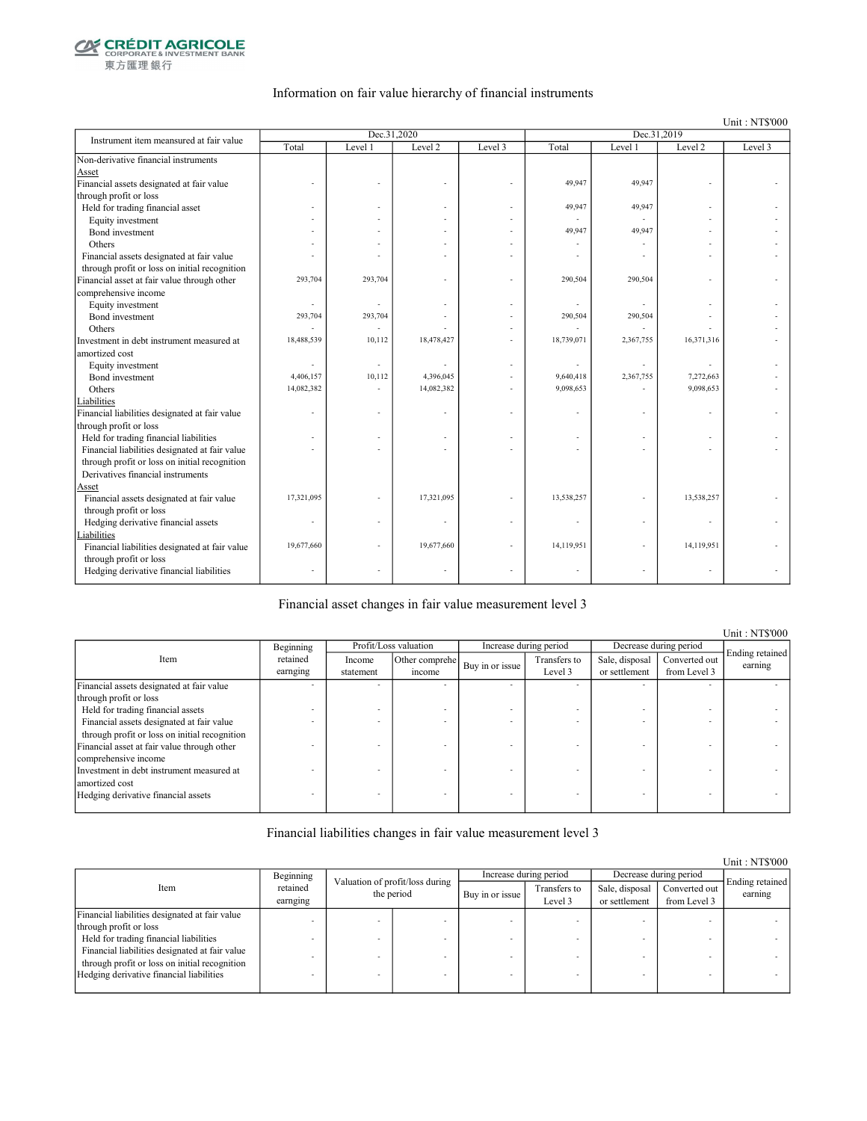

東方匯理銀行

### Information on fair value hierarchy of financial instruments

Unit : NT\$'000

| Instrument item meansured at fair value        |            | Dec.31,2020 |            |                          | Dec.31,2019 |           |            |         |  |
|------------------------------------------------|------------|-------------|------------|--------------------------|-------------|-----------|------------|---------|--|
|                                                | Total      | Level 1     | Level 2    | Level 3                  | Total       | Level 1   | Level 2    | Level 3 |  |
| Non-derivative financial instruments           |            |             |            |                          |             |           |            |         |  |
| Asset                                          |            |             |            |                          |             |           |            |         |  |
| Financial assets designated at fair value      |            |             |            |                          | 49,947      | 49,947    |            |         |  |
| through profit or loss                         |            |             |            |                          |             |           |            |         |  |
| Held for trading financial asset               |            |             |            |                          | 49,947      | 49,947    |            |         |  |
| Equity investment                              |            |             |            |                          |             | ÷.        |            |         |  |
| Bond investment                                |            |             |            |                          | 49,947      | 49,947    |            |         |  |
| Others                                         |            |             |            |                          |             |           |            |         |  |
| Financial assets designated at fair value      |            |             |            |                          |             |           |            |         |  |
| through profit or loss on initial recognition  |            |             |            |                          |             |           |            |         |  |
| Financial asset at fair value through other    | 293,704    | 293,704     |            |                          | 290,504     | 290,504   |            |         |  |
| comprehensive income                           |            |             |            |                          |             |           |            |         |  |
| Equity investment                              |            |             |            |                          |             |           |            |         |  |
| Bond investment                                | 293,704    | 293,704     |            |                          | 290,504     | 290,504   |            |         |  |
| Others                                         |            |             |            |                          |             |           |            |         |  |
| Investment in debt instrument measured at      | 18,488,539 | 10,112      | 18,478,427 |                          | 18,739,071  | 2,367,755 | 16,371,316 |         |  |
| amortized cost                                 |            |             |            |                          |             |           |            |         |  |
| Equity investment                              |            |             |            |                          |             |           |            |         |  |
| Bond investment                                | 4,406,157  | 10,112      | 4,396,045  |                          | 9,640,418   | 2,367,755 | 7,272,663  |         |  |
| Others                                         | 14,082,382 |             | 14,082,382 |                          | 9,098,653   |           | 9,098,653  |         |  |
| Liabilities                                    |            |             |            |                          |             |           |            |         |  |
| Financial liabilities designated at fair value |            |             |            |                          |             |           |            |         |  |
| through profit or loss                         |            |             |            |                          |             |           |            |         |  |
| Held for trading financial liabilities         |            |             |            |                          |             |           |            |         |  |
| Financial liabilities designated at fair value |            |             |            |                          |             |           |            |         |  |
| through profit or loss on initial recognition  |            |             |            |                          |             |           |            |         |  |
| Derivatives financial instruments              |            |             |            |                          |             |           |            |         |  |
| Asset                                          |            |             |            |                          |             |           |            |         |  |
| Financial assets designated at fair value      | 17,321,095 |             | 17,321,095 |                          | 13,538,257  |           | 13,538,257 |         |  |
| through profit or loss                         |            |             |            |                          |             |           |            |         |  |
| Hedging derivative financial assets            | ä,         |             |            |                          |             |           |            |         |  |
| Liabilities                                    |            |             |            |                          |             |           |            |         |  |
| Financial liabilities designated at fair value | 19,677,660 |             | 19,677,660 | ÷                        | 14,119,951  | ä,        | 14,119,951 |         |  |
| through profit or loss                         |            |             |            |                          |             |           |            |         |  |
| Hedging derivative financial liabilities       |            |             |            | $\overline{\phantom{a}}$ |             | ä,        | $\bar{a}$  |         |  |
|                                                |            |             |            |                          |             |           |            |         |  |

#### Financial asset changes in fair value measurement level 3

Unit : NT\$'000 Income statement Other comprehe  $\begin{array}{c|c}\n\text{er complete} \\
\text{if the same line} \\
\text{if the same line} \\
\end{array}$ Level 3 Sale, disposal or settlement Converted out from Level 3 Financial assets designated at fair value through profit or loss - - - - - - - - Held for trading financial assets  $\blacksquare$ <br>Financial assets designated at fair value Financial assets designated at fair value through profit or loss on initial recognition - - - - - - - - Financial asset at fair value through other comprehensive income - - - - - - - - Investment in debt instrument measured at amortized cost - - - - - - - - Hedging derivative financial assets Ending retained earning Beginning retained earnging Item Profit/Loss valuation Increase during period Decrease during period

### Financial liabilities changes in fair value measurement level 3

|                                                |                      |                                               |  |                        |                         |                                 |                               | Unit: NT\$'000             |
|------------------------------------------------|----------------------|-----------------------------------------------|--|------------------------|-------------------------|---------------------------------|-------------------------------|----------------------------|
|                                                | Beginning            |                                               |  | Increase during period |                         | Decrease during period          |                               |                            |
| Item                                           | retained<br>earnging | Valuation of profit/loss during<br>the period |  | Buy in or issue        | Transfers to<br>Level 3 | Sale, disposal<br>or settlement | Converted out<br>from Level 3 | Ending retained<br>earning |
| Financial liabilities designated at fair value |                      |                                               |  |                        |                         |                                 |                               |                            |
| through profit or loss                         |                      |                                               |  |                        |                         |                                 |                               |                            |
| Held for trading financial liabilities         |                      |                                               |  |                        |                         |                                 |                               |                            |
| Financial liabilities designated at fair value |                      |                                               |  |                        |                         |                                 |                               |                            |
| through profit or loss on initial recognition  |                      |                                               |  |                        |                         |                                 |                               |                            |
| Hedging derivative financial liabilities       |                      |                                               |  |                        |                         |                                 |                               |                            |
|                                                |                      |                                               |  |                        |                         |                                 |                               |                            |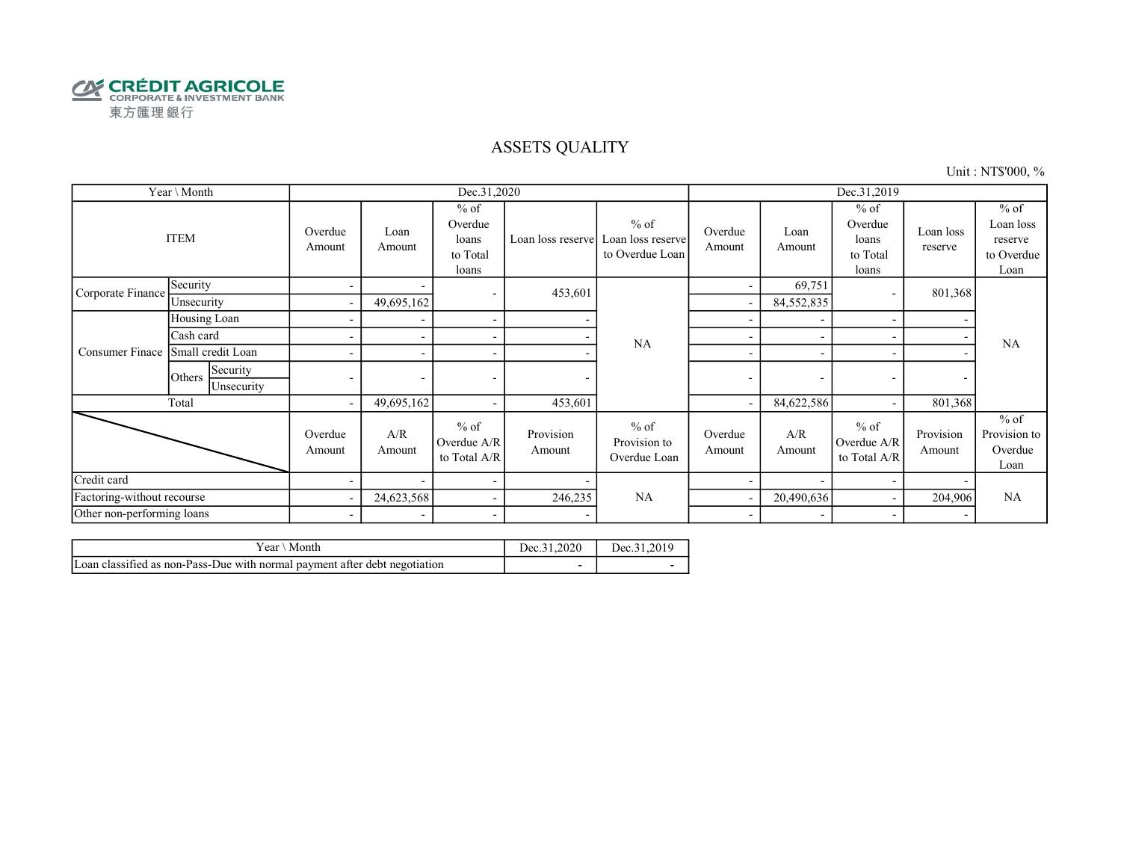

## ASSETS QUALITY

Unit : NT\$'000, %

| Year \ Month               |                                  |                          |                          | Dec.31,2020                                     |                          |                                                | Dec.31,2019              |                          |                                                 |                          |                                                      |
|----------------------------|----------------------------------|--------------------------|--------------------------|-------------------------------------------------|--------------------------|------------------------------------------------|--------------------------|--------------------------|-------------------------------------------------|--------------------------|------------------------------------------------------|
|                            | <b>ITEM</b>                      | Overdue<br>Amount        | Loan<br>Amount           | $%$ of<br>Overdue<br>loans<br>to Total<br>loans | Loan loss reserve        | $%$ of<br>Loan loss reserve<br>to Overdue Loan | Overdue<br>Amount        | Loan<br>Amount           | $%$ of<br>Overdue<br>loans<br>to Total<br>loans | Loan loss<br>reserve     | $%$ of<br>Loan loss<br>reserve<br>to Overdue<br>Loan |
| Corporate Finance          | Security                         | $\blacksquare$           |                          | $\overline{\phantom{a}}$                        | 453,601                  |                                                |                          | 69,751                   |                                                 | 801,368                  |                                                      |
|                            | Unsecurity                       | $\sim$                   | 49,695,162               |                                                 |                          |                                                | ٠                        | 84,552,835               |                                                 |                          |                                                      |
|                            | Housing Loan                     | ۰                        |                          | $\overline{\phantom{a}}$                        |                          |                                                |                          |                          |                                                 |                          |                                                      |
|                            | Cash card                        |                          |                          | $\overline{\phantom{a}}$                        |                          | <b>NA</b>                                      |                          |                          |                                                 |                          | <b>NA</b>                                            |
| Consumer Finace            | Small credit Loan                |                          | $\overline{\phantom{a}}$ | $\overline{\phantom{a}}$                        |                          | ٠                                              | $\overline{\phantom{a}}$ |                          |                                                 |                          |                                                      |
|                            | Security<br>Others<br>Unsecurity | $\overline{\phantom{0}}$ | $\overline{\phantom{a}}$ | $\overline{\phantom{a}}$                        |                          |                                                | $\overline{\phantom{a}}$ | $\overline{\phantom{a}}$ | $\overline{\phantom{0}}$                        | $\overline{\phantom{a}}$ |                                                      |
|                            | Total                            | $\sim$                   | 49,695,162               | $\overline{\phantom{a}}$                        | 453,601                  |                                                |                          | 84,622,586               |                                                 | 801,368                  |                                                      |
|                            |                                  | Overdue<br>Amount        | A/R<br>Amount            | $%$ of<br>Overdue A/R<br>to Total A/R           | Provision<br>Amount      | $%$ of<br>Provision to<br>Overdue Loan         | Overdue<br>Amount        | A/R<br>Amount            | $%$ of<br>Overdue A/R<br>to Total A/R           | Provision<br>Amount      | $%$ of<br>Provision to<br>Overdue<br>Loan            |
| Credit card                |                                  |                          | $\overline{\phantom{0}}$ | $\overline{\phantom{a}}$                        |                          |                                                |                          |                          |                                                 |                          |                                                      |
| Factoring-without recourse |                                  | $\overline{\phantom{a}}$ | 24,623,568               | $\sim$                                          | 246,235                  | NA                                             |                          | 20,490,636               |                                                 | 204,906                  | <b>NA</b>                                            |
| Other non-performing loans |                                  | $\overline{\phantom{a}}$ | $\overline{\phantom{a}}$ | $\overline{\phantom{a}}$                        | $\overline{\phantom{0}}$ |                                                | $\overline{\phantom{a}}$ | $\overline{\phantom{a}}$ |                                                 | $\overline{\phantom{a}}$ |                                                      |

| r ear<br>Month                                                             | Dec.3' | .201c<br>Dec.31 |
|----------------------------------------------------------------------------|--------|-----------------|
| Loan classified as non-Pass-Due with normal payment after debt negotiation |        |                 |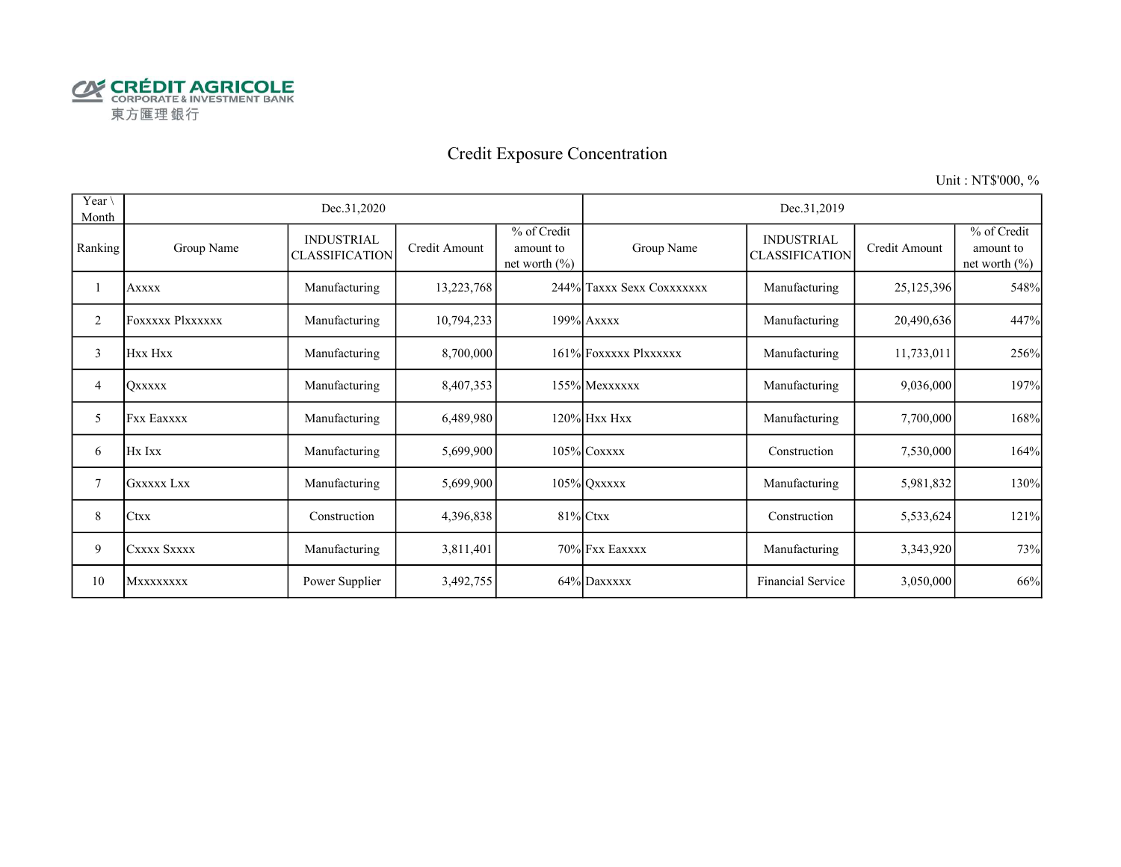

# Credit Exposure Concentration

Unit : NT\$'000, %

| Year \<br>Month | Dec.31,2020<br>Dec.31,2019 |                                            |               |                                               |                           |                                            |               |                                               |
|-----------------|----------------------------|--------------------------------------------|---------------|-----------------------------------------------|---------------------------|--------------------------------------------|---------------|-----------------------------------------------|
| Ranking         | Group Name                 | <b>INDUSTRIAL</b><br><b>CLASSIFICATION</b> | Credit Amount | % of Credit<br>amount to<br>net worth $(\% )$ | Group Name                | <b>INDUSTRIAL</b><br><b>CLASSIFICATION</b> | Credit Amount | % of Credit<br>amount to<br>net worth $(\% )$ |
|                 | <b>Axxxx</b>               | Manufacturing                              | 13,223,768    |                                               | 244% Taxxx Sexx Coxxxxxxx | Manufacturing                              | 25, 125, 396  | 548%                                          |
| $\overline{c}$  | FOXXXXX Plxxxxxx           | Manufacturing                              | 10,794,233    |                                               | 199% Axxxx                | Manufacturing                              | 20,490,636    | 447%                                          |
| 3               | Hxx Hxx                    | Manufacturing                              | 8,700,000     |                                               | 161% FOXXXXX Plxxxxxx     | Manufacturing                              | 11,733,011    | 256%                                          |
| 4               | Oxxxxx                     | Manufacturing                              | 8,407,353     |                                               | 155% Mexxxxxx             | Manufacturing                              | 9,036,000     | 197%                                          |
| 5               | <b>Fxx Eaxxxx</b>          | Manufacturing                              | 6,489,980     |                                               | $120\%$ Hxx Hxx           | Manufacturing                              | 7,700,000     | 168%                                          |
| 6               | Hx Ixx                     | Manufacturing                              | 5,699,900     |                                               | $105\%$ Coxxxx            | Construction                               | 7,530,000     | 164%                                          |
| 7               | <b>GXXXXX LXX</b>          | Manufacturing                              | 5,699,900     |                                               | $105\%$ QXXXXX            | Manufacturing                              | 5,981,832     | 130%                                          |
| 8               | Ctxx                       | Construction                               | 4,396,838     |                                               | $81\%$ Ctxx               | Construction                               | 5,533,624     | 121%                                          |
| 9               | CXXXX SXXXX                | Manufacturing                              | 3,811,401     |                                               | 70% Fxx Eaxxxx            | Manufacturing                              | 3,343,920     | 73%                                           |
| 10              | Mxxxxxxxx                  | Power Supplier                             | 3,492,755     |                                               | 64% Daxxxxx               | Financial Service                          | 3,050,000     | 66%                                           |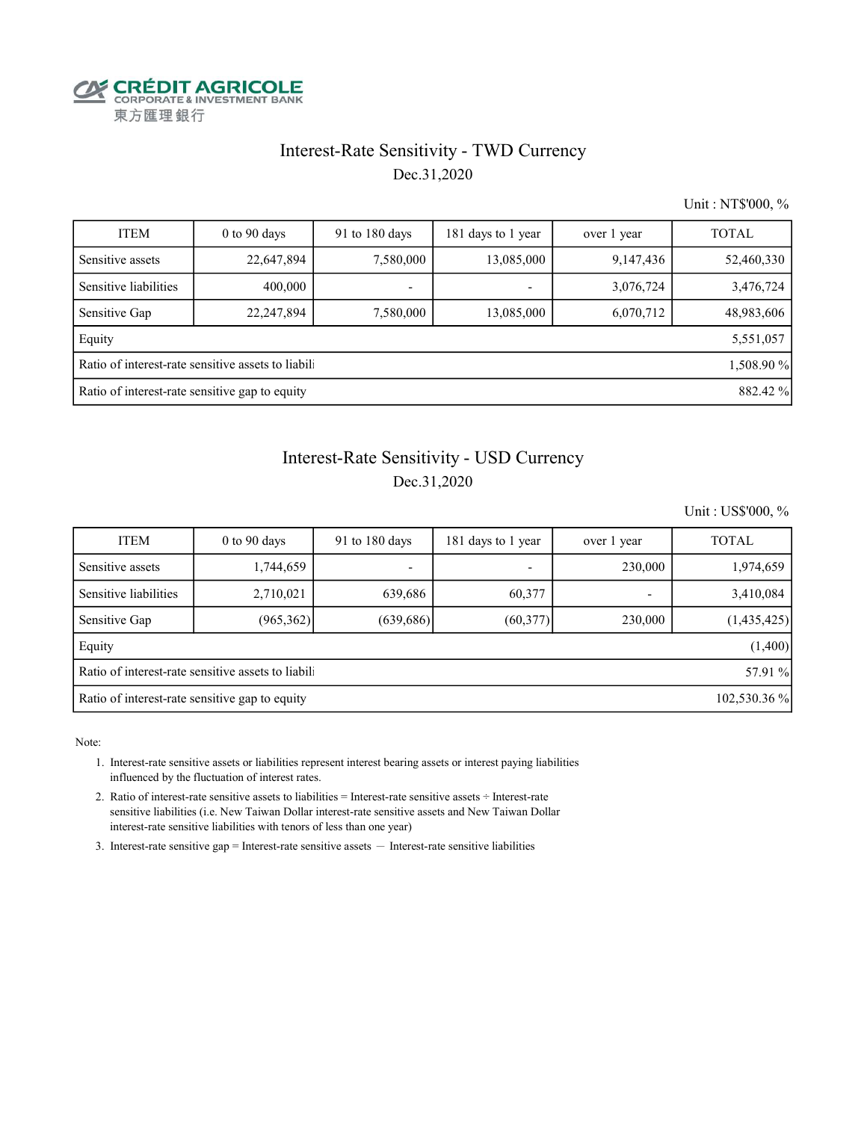

# Interest-Rate Sensitivity - TWD Currency

Dec.31,2020

Unit : NT\$'000, %

| <b>ITEM</b>                                                      | $0$ to 90 days | 91 to 180 days | 181 days to 1 year       | over 1 year | <b>TOTAL</b> |  |  |  |  |  |  |
|------------------------------------------------------------------|----------------|----------------|--------------------------|-------------|--------------|--|--|--|--|--|--|
| Sensitive assets                                                 | 22,647,894     | 7,580,000      | 13,085,000               | 9,147,436   | 52,460,330   |  |  |  |  |  |  |
| Sensitive liabilities                                            | 400,000        |                | $\overline{\phantom{0}}$ | 3,076,724   | 3,476,724    |  |  |  |  |  |  |
| Sensitive Gap                                                    | 22,247,894     | 7,580,000      | 13,085,000               | 6,070,712   | 48,983,606   |  |  |  |  |  |  |
| Equity                                                           |                |                |                          |             | 5,551,057    |  |  |  |  |  |  |
| Ratio of interest-rate sensitive assets to liabili<br>1,508.90 % |                |                |                          |             |              |  |  |  |  |  |  |
| Ratio of interest-rate sensitive gap to equity<br>882.42 %       |                |                |                          |             |              |  |  |  |  |  |  |

## Interest-Rate Sensitivity - USD Currency

Dec.31,2020

Unit : US\$'000, %

| <b>ITEM</b>                                                    | $0$ to 90 days | 91 to 180 days | 181 days to 1 year | over 1 year | <b>TOTAL</b> |  |  |  |  |  |
|----------------------------------------------------------------|----------------|----------------|--------------------|-------------|--------------|--|--|--|--|--|
| Sensitive assets                                               | 1,744,659      | -              | ٠                  | 230,000     | 1,974,659    |  |  |  |  |  |
| Sensitive liabilities                                          | 2,710,021      | 639,686        | 60,377             |             | 3,410,084    |  |  |  |  |  |
| Sensitive Gap                                                  | (965,362)      | (639, 686)     | (60,377)           | 230,000     | (1,435,425)  |  |  |  |  |  |
| Equity                                                         |                |                |                    |             | (1,400)      |  |  |  |  |  |
| Ratio of interest-rate sensitive assets to liabil<br>57.91 %   |                |                |                    |             |              |  |  |  |  |  |
| Ratio of interest-rate sensitive gap to equity<br>102,530.36 % |                |                |                    |             |              |  |  |  |  |  |

Note:

 1. Interest-rate sensitive assets or liabilities represent interest bearing assets or interest paying liabilities influenced by the fluctuation of interest rates.

 2. Ratio of interest-rate sensitive assets to liabilities = Interest-rate sensitive assets ÷ Interest-rate sensitive liabilities (i.e. New Taiwan Dollar interest-rate sensitive assets and New Taiwan Dollar interest-rate sensitive liabilities with tenors of less than one year)

3. Interest-rate sensitive gap = Interest-rate sensitive assets  $-$  Interest-rate sensitive liabilities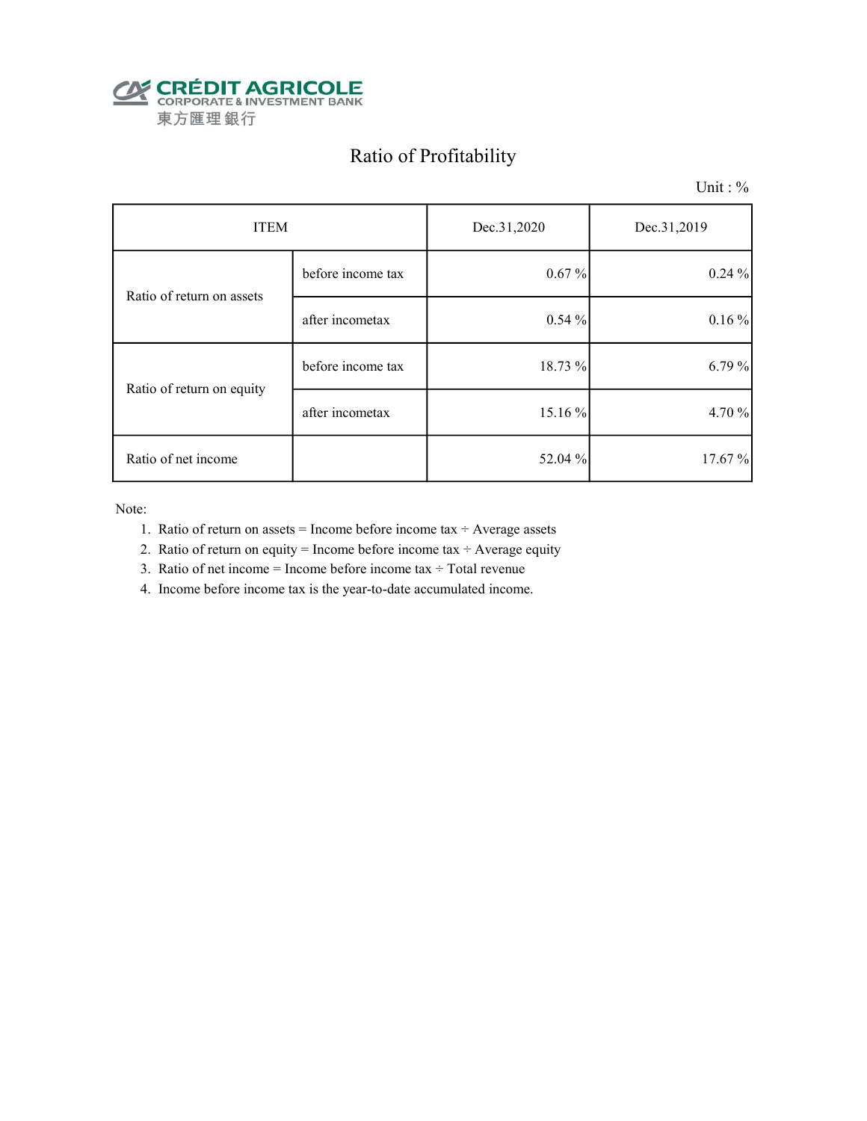

# Ratio of Profitability

Unit : %

| <b>ITEM</b>               |                   | Dec.31,2020 | Dec.31,2019 |  |
|---------------------------|-------------------|-------------|-------------|--|
| Ratio of return on assets | before income tax | $0.67\%$    | 0.24%       |  |
|                           | after incometax   | 0.54%       | 0.16%       |  |
| Ratio of return on equity | before income tax | 18.73 %     | 6.79 %      |  |
|                           | after incometax   | 15.16%      | 4.70 %      |  |
| Ratio of net income       |                   | 52.04 %     | 17.67%      |  |

Note:

- 1. Ratio of return on assets = Income before income tax  $\div$  Average assets
- 2. Ratio of return on equity = Income before income tax  $\div$  Average equity
- 3. Ratio of net income = Income before income tax  $\div$  Total revenue
- 4. Income before income tax is the year-to-date accumulated income.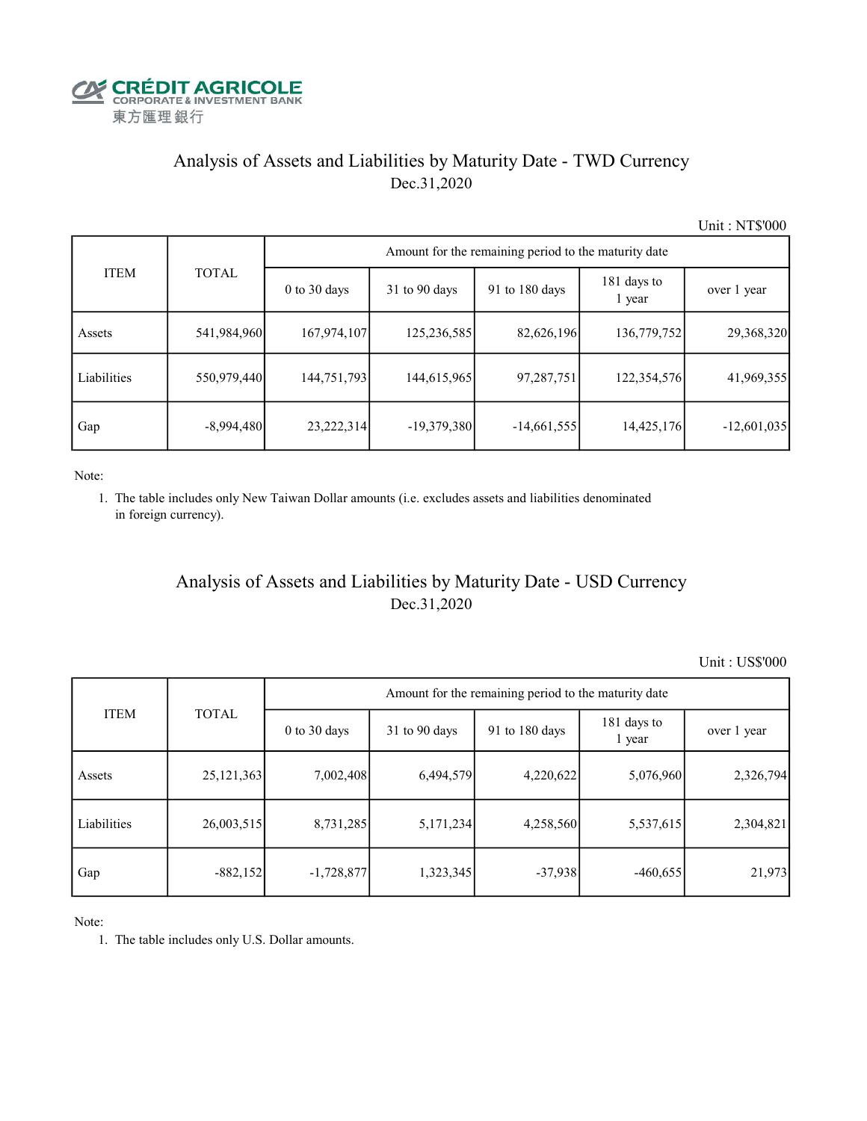

## Analysis of Assets and Liabilities by Maturity Date - TWD Currency Dec.31,2020

Unit : NT\$'000

|             |              | Amount for the remaining period to the maturity date |                 |                |                       |               |  |  |  |  |
|-------------|--------------|------------------------------------------------------|-----------------|----------------|-----------------------|---------------|--|--|--|--|
| <b>ITEM</b> | <b>TOTAL</b> | $0$ to $30$ days                                     | $31$ to 90 days | 91 to 180 days | 181 days to<br>1 year | over 1 year   |  |  |  |  |
| Assets      | 541,984,960  | 167,974,107                                          | 125,236,585     | 82,626,196     | 136,779,752           | 29,368,320    |  |  |  |  |
| Liabilities | 550,979,440  | 144,751,793                                          | 144,615,965     | 97,287,751     | 122,354,576           | 41,969,355    |  |  |  |  |
| Gap         | $-8,994,480$ | 23, 222, 314                                         | $-19,379,380$   | $-14,661,555$  | 14,425,176            | $-12,601,035$ |  |  |  |  |

Note:

 1. The table includes only New Taiwan Dollar amounts (i.e. excludes assets and liabilities denominated in foreign currency).

## Analysis of Assets and Liabilities by Maturity Date - USD Currency Dec.31,2020

Unit : US\$'000

|             | <b>TOTAL</b> | Amount for the remaining period to the maturity date |                 |                |                       |             |  |  |  |
|-------------|--------------|------------------------------------------------------|-----------------|----------------|-----------------------|-------------|--|--|--|
| <b>ITEM</b> |              | $0$ to $30$ days                                     | $31$ to 90 days | 91 to 180 days | 181 days to<br>1 year | over 1 year |  |  |  |
| Assets      | 25, 121, 363 | 7,002,408                                            | 6,494,579       | 4,220,622      | 5,076,960             | 2,326,794   |  |  |  |
| Liabilities | 26,003,515   | 8,731,285                                            | 5,171,234       | 4,258,560      | 5,537,615             | 2,304,821   |  |  |  |
| Gap         | $-882, 152$  | $-1,728,877$                                         | 1,323,345       | $-37,938$      | $-460,655$            | 21,973      |  |  |  |

Note:

1. The table includes only U.S. Dollar amounts.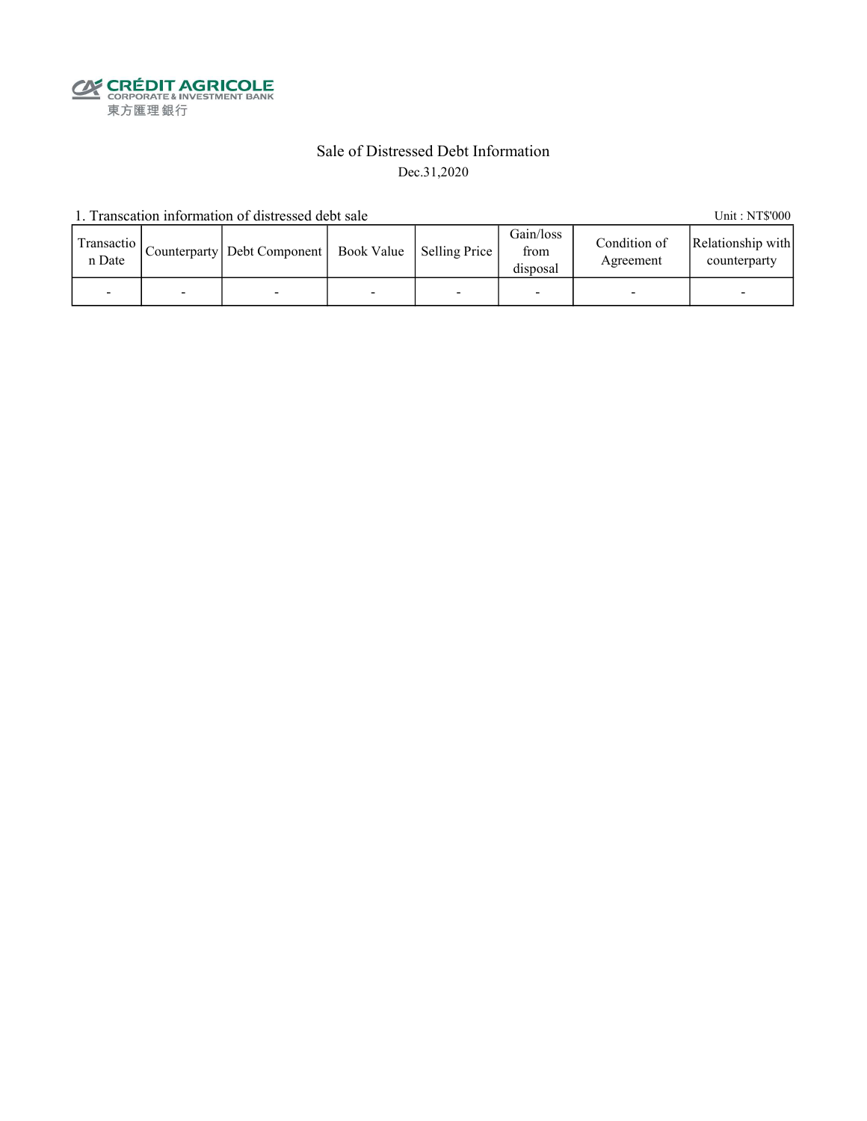**CALEDIT AGRICOLE**<br>
CORPORATE & INVESTMENT BANK<br>
東方匯理銀行

### Sale of Distressed Debt Information Dec.31,2020

1. Transcation information of distressed debt sale Unit: NT\$'000

| Transactio  <br>n Date | Counterparty   Debt Component   Book Value   Selling Price |  | Gain/loss<br>from<br>disposal | Condition of<br>Agreement | Relationship with<br>counterparty |
|------------------------|------------------------------------------------------------|--|-------------------------------|---------------------------|-----------------------------------|
|                        |                                                            |  |                               |                           |                                   |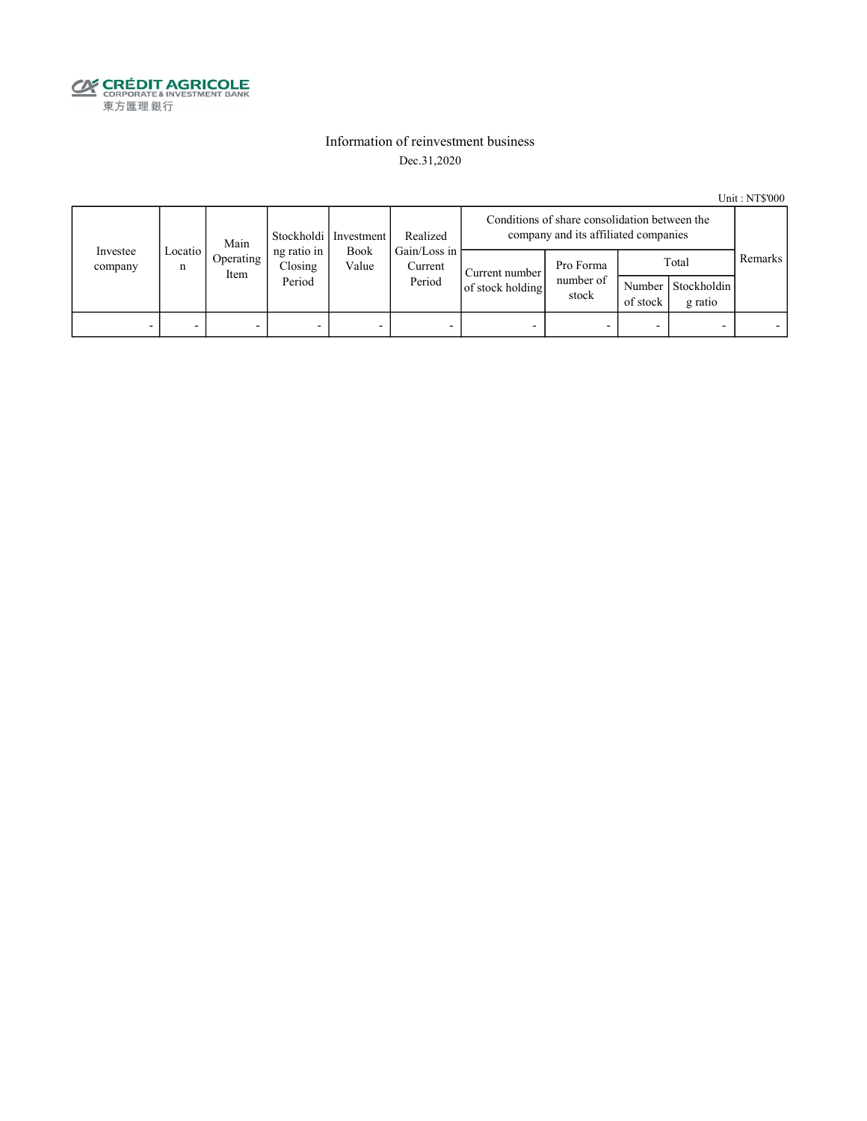

### Information of reinvestment business Dec.31,2020

Unit : NT\$'000

|                     | Main         |                   |                                  | Stockholdi   Investment | Realized                          | Conditions of share consolidation between the<br>company and its affiliated companies |                                 |                    |                                 |         |
|---------------------|--------------|-------------------|----------------------------------|-------------------------|-----------------------------------|---------------------------------------------------------------------------------------|---------------------------------|--------------------|---------------------------------|---------|
| Investee<br>company | Locatio<br>n | Operating<br>Item | ng ratio in<br>Closing<br>Period | <b>Book</b><br>Value    | Gain/Loss in<br>Current<br>Period | Current number<br>of stock holding                                                    | Pro Forma<br>number of<br>stock | Number<br>of stock | Total<br>Stockholdin<br>g ratio | Remarks |
| -                   |              |                   | -                                | -                       |                                   |                                                                                       |                                 |                    |                                 |         |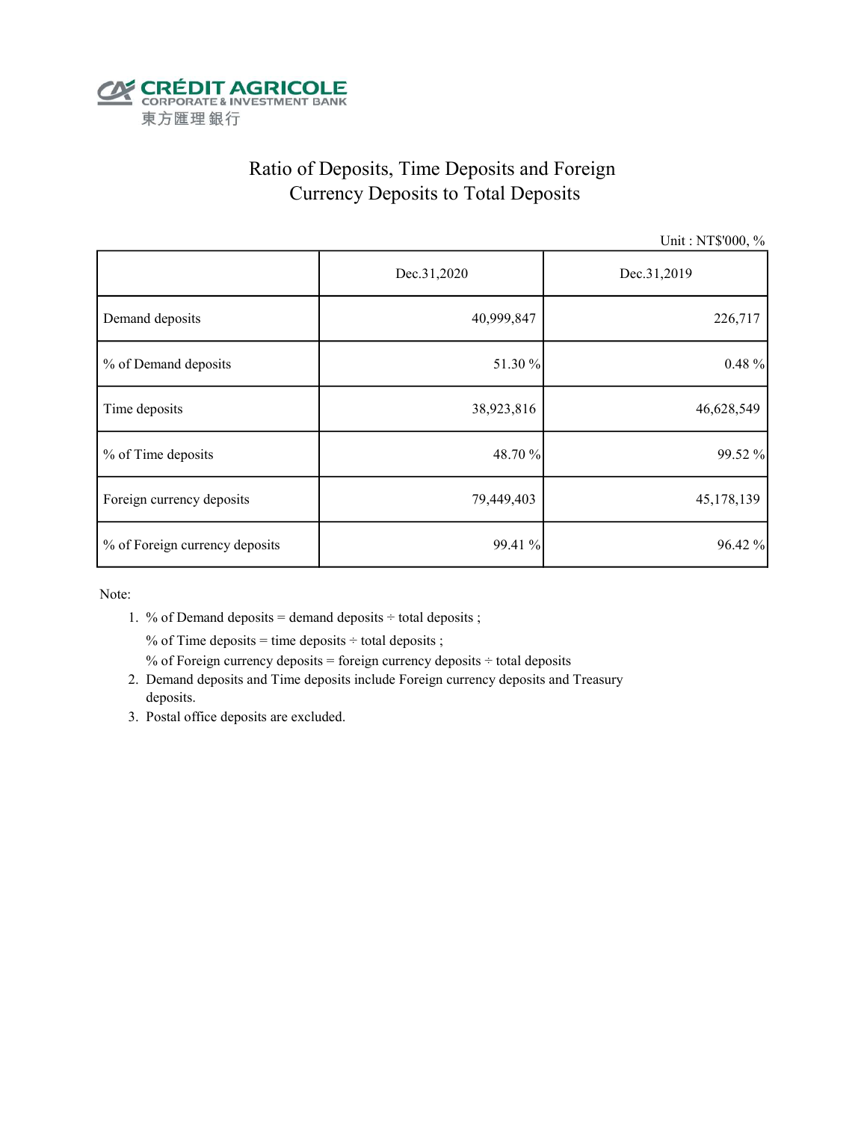

# Ratio of Deposits, Time Deposits and Foreign Currency Deposits to Total Deposits

Unit : NT\$'000, %

|                                | Dec.31,2020 | Dec.31,2019 |  |  |
|--------------------------------|-------------|-------------|--|--|
| Demand deposits                | 40,999,847  | 226,717     |  |  |
| % of Demand deposits           | 51.30 %     | $0.48 \%$   |  |  |
| Time deposits                  | 38,923,816  | 46,628,549  |  |  |
| % of Time deposits             | 48.70 %     | 99.52 %     |  |  |
| Foreign currency deposits      | 79,449,403  | 45,178,139  |  |  |
| % of Foreign currency deposits | 99.41 %     | 96.42 %     |  |  |

Note:

1. % of Demand deposits = demand deposits  $\div$  total deposits ;

% of Time deposits = time deposits  $\div$  total deposits ;

% of Foreign currency deposits = foreign currency deposits  $\div$  total deposits

- 2. Demand deposits and Time deposits include Foreign currency deposits and Treasury deposits.
- 3. Postal office deposits are excluded.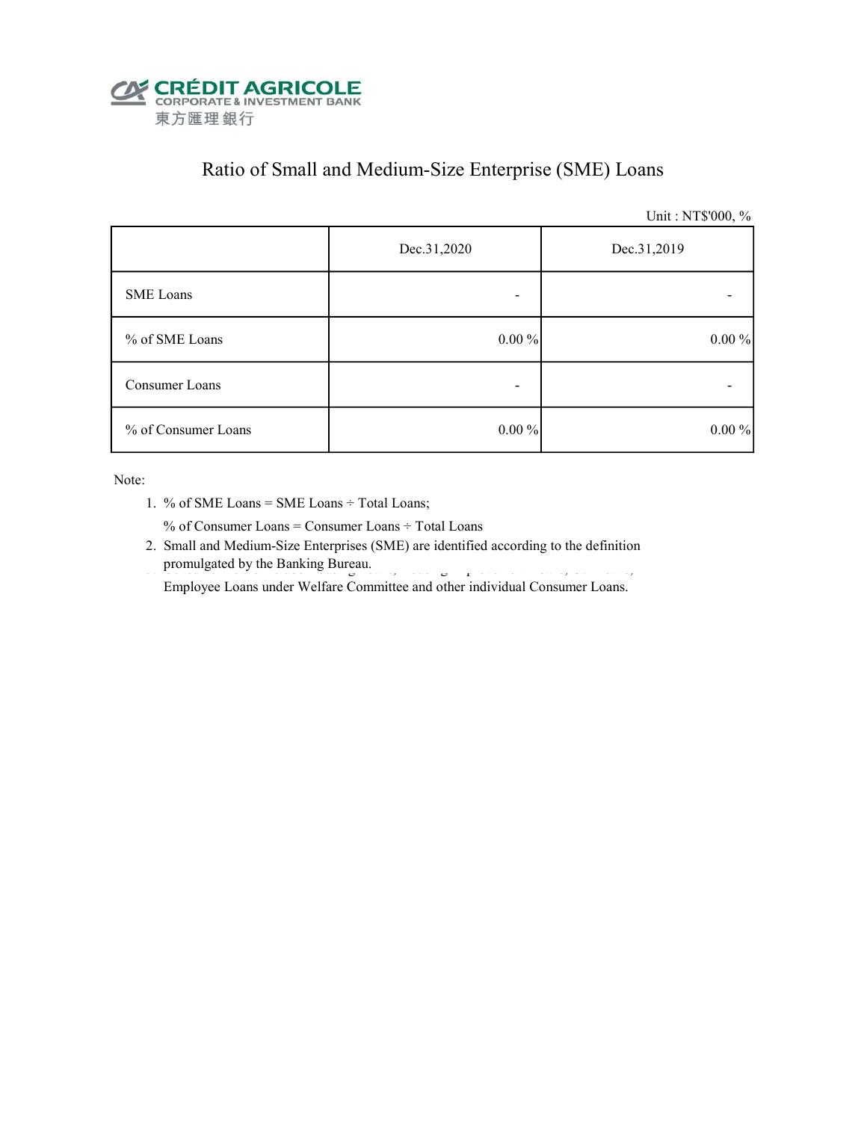

# Ratio of Small and Medium-Size Enterprise (SME) Loans

Unit : NT\$'000, %

|                     | Dec.31,2020 | Dec.31,2019 |
|---------------------|-------------|-------------|
| <b>SME</b> Loans    |             |             |
| % of SME Loans      | $0.00\%$    | $0.00\%$    |
| Consumer Loans      | -           |             |
| % of Consumer Loans | $0.00\%$    | $0.00\%$    |

Note:

1. % of SME Loans = SME Loans ÷ Total Loans;

% of Consumer Loans = Consumer Loans ÷ Total Loans

 2. Small and Medium-Size Enterprises (SME) are identified according to the definition promulgated by the Banking Bureau.

Employee Loans under Welfare Committee and other individual Consumer Loans.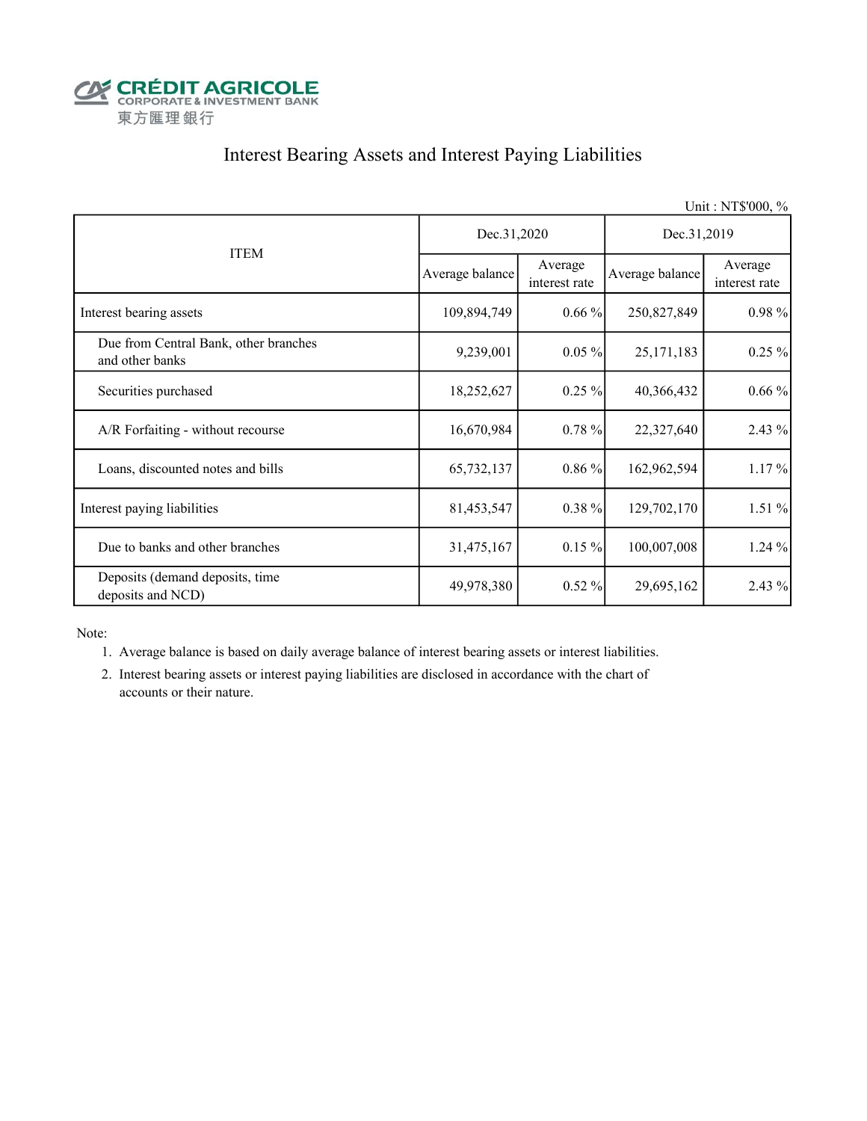

# Interest Bearing Assets and Interest Paying Liabilities

|                                                          |                 |                          |                 | Unit: NT\$'000, %        |  |
|----------------------------------------------------------|-----------------|--------------------------|-----------------|--------------------------|--|
| <b>ITEM</b>                                              | Dec.31,2020     |                          | Dec.31,2019     |                          |  |
|                                                          | Average balance | Average<br>interest rate | Average balance | Average<br>interest rate |  |
| Interest bearing assets                                  | 109,894,749     | $0.66\%$                 | 250,827,849     | 0.98%                    |  |
| Due from Central Bank, other branches<br>and other banks | 9,239,001       | $0.05\%$                 | 25, 171, 183    | $0.25 \%$                |  |
| Securities purchased                                     | 18,252,627      | $0.25 \%$                | 40,366,432      | $0.66\%$                 |  |
| A/R Forfaiting - without recourse                        | 16,670,984      | 0.78%                    | 22,327,640      | 2.43%                    |  |
| Loans, discounted notes and bills                        | 65,732,137      | $0.86\%$                 | 162,962,594     | 1.17%                    |  |
| Interest paying liabilities                              | 81,453,547      | $0.38\%$                 | 129,702,170     | 1.51%                    |  |
| Due to banks and other branches                          | 31,475,167      | $0.15 \%$                | 100,007,008     | 1.24%                    |  |
| Deposits (demand deposits, time<br>deposits and NCD)     | 49,978,380      | 0.52%                    | 29,695,162      | 2.43%                    |  |

Note:

- 1. Average balance is based on daily average balance of interest bearing assets or interest liabilities.
- 2. Interest bearing assets or interest paying liabilities are disclosed in accordance with the chart of accounts or their nature.